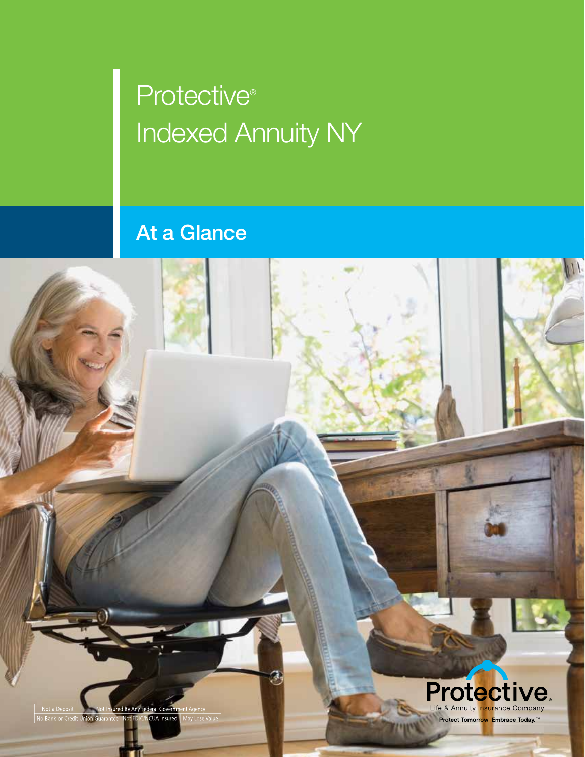## Protective® **Indexed Annuity NY**

## At a Glance

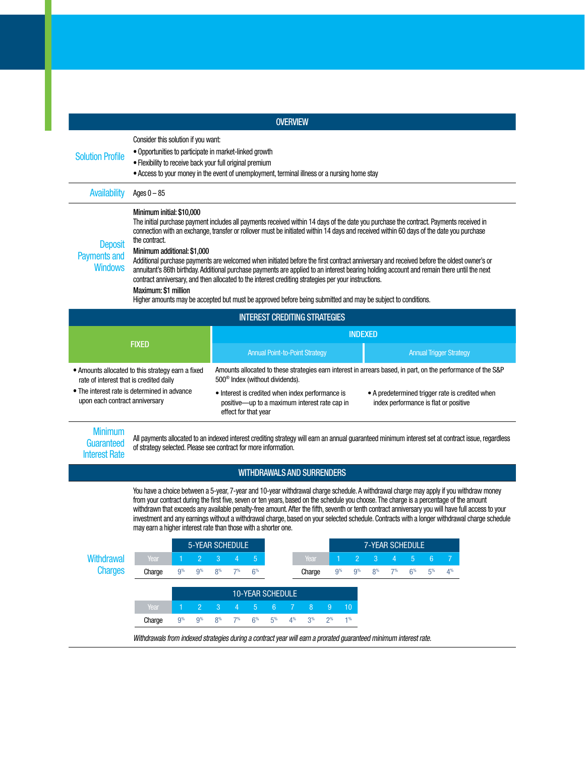|                                                                                                                                                                                                                |                                                                                                                                                                                                                                                                                                                                                                                                                                                                                                                                                                                                                                                                                                                                                                                                                                                                                                          |                 |                      |                                       |                                                                                                                                                                                                                                                                                                                                                                                                                                                                                                                                            |                                  |                | <b>OVERVIEW</b> |                                      |                 |                                  |                                  |                        |                                  |                                  |                      |  |  |  |
|----------------------------------------------------------------------------------------------------------------------------------------------------------------------------------------------------------------|----------------------------------------------------------------------------------------------------------------------------------------------------------------------------------------------------------------------------------------------------------------------------------------------------------------------------------------------------------------------------------------------------------------------------------------------------------------------------------------------------------------------------------------------------------------------------------------------------------------------------------------------------------------------------------------------------------------------------------------------------------------------------------------------------------------------------------------------------------------------------------------------------------|-----------------|----------------------|---------------------------------------|--------------------------------------------------------------------------------------------------------------------------------------------------------------------------------------------------------------------------------------------------------------------------------------------------------------------------------------------------------------------------------------------------------------------------------------------------------------------------------------------------------------------------------------------|----------------------------------|----------------|-----------------|--------------------------------------|-----------------|----------------------------------|----------------------------------|------------------------|----------------------------------|----------------------------------|----------------------|--|--|--|
| <b>Solution Profile</b>                                                                                                                                                                                        | Consider this solution if you want:<br>• Opportunities to participate in market-linked growth<br>• Flexibility to receive back your full original premium<br>• Access to your money in the event of unemployment, terminal illness or a nursing home stay                                                                                                                                                                                                                                                                                                                                                                                                                                                                                                                                                                                                                                                |                 |                      |                                       |                                                                                                                                                                                                                                                                                                                                                                                                                                                                                                                                            |                                  |                |                 |                                      |                 |                                  |                                  |                        |                                  |                                  |                      |  |  |  |
| <b>Availability</b>                                                                                                                                                                                            | Ages $0 - 85$                                                                                                                                                                                                                                                                                                                                                                                                                                                                                                                                                                                                                                                                                                                                                                                                                                                                                            |                 |                      |                                       |                                                                                                                                                                                                                                                                                                                                                                                                                                                                                                                                            |                                  |                |                 |                                      |                 |                                  |                                  |                        |                                  |                                  |                      |  |  |  |
| <b>Deposit</b><br><b>Payments and</b><br><b>Windows</b>                                                                                                                                                        | Minimum initial: \$10,000<br>The initial purchase payment includes all payments received within 14 days of the date you purchase the contract. Payments received in<br>connection with an exchange, transfer or rollover must be initiated within 14 days and received within 60 days of the date you purchase<br>the contract.<br>Minimum additional: \$1,000<br>Additional purchase payments are welcomed when initiated before the first contract anniversary and received before the oldest owner's or<br>annuitant's 86th birthday. Additional purchase payments are applied to an interest bearing holding account and remain there until the next<br>contract anniversary, and then allocated to the interest crediting strategies per your instructions.<br>Maximum: \$1 million<br>Higher amounts may be accepted but must be approved before being submitted and may be subject to conditions. |                 |                      |                                       |                                                                                                                                                                                                                                                                                                                                                                                                                                                                                                                                            |                                  |                |                 |                                      |                 |                                  |                                  |                        |                                  |                                  |                      |  |  |  |
|                                                                                                                                                                                                                |                                                                                                                                                                                                                                                                                                                                                                                                                                                                                                                                                                                                                                                                                                                                                                                                                                                                                                          |                 |                      |                                       |                                                                                                                                                                                                                                                                                                                                                                                                                                                                                                                                            |                                  |                |                 | <b>INTEREST CREDITING STRATEGIES</b> |                 |                                  |                                  |                        |                                  |                                  |                      |  |  |  |
|                                                                                                                                                                                                                |                                                                                                                                                                                                                                                                                                                                                                                                                                                                                                                                                                                                                                                                                                                                                                                                                                                                                                          |                 |                      |                                       | <b>INDEXED</b>                                                                                                                                                                                                                                                                                                                                                                                                                                                                                                                             |                                  |                |                 |                                      |                 |                                  |                                  |                        |                                  |                                  |                      |  |  |  |
| <b>FIXED</b>                                                                                                                                                                                                   |                                                                                                                                                                                                                                                                                                                                                                                                                                                                                                                                                                                                                                                                                                                                                                                                                                                                                                          |                 |                      | <b>Annual Point-to-Point Strategy</b> |                                                                                                                                                                                                                                                                                                                                                                                                                                                                                                                                            |                                  |                |                 |                                      |                 |                                  | <b>Annual Trigger Strategy</b>   |                        |                                  |                                  |                      |  |  |  |
| • Amounts allocated to this strategy earn a fixed<br>rate of interest that is credited daily<br>• The interest rate is determined in advance<br>upon each contract anniversary<br><b>Minimum</b><br>Guaranteed |                                                                                                                                                                                                                                                                                                                                                                                                                                                                                                                                                                                                                                                                                                                                                                                                                                                                                                          |                 |                      |                                       | Amounts allocated to these strategies earn interest in arrears based, in part, on the performance of the S&P<br>500 <sup>®</sup> Index (without dividends).<br>• Interest is credited when index performance is<br>• A predetermined trigger rate is credited when<br>index performance is flat or positive<br>positive—up to a maximum interest rate cap in<br>effect for that year<br>All payments allocated to an indexed interest crediting strategy will earn an annual guaranteed minimum interest set at contract issue, regardless |                                  |                |                 |                                      |                 |                                  |                                  |                        |                                  |                                  |                      |  |  |  |
| <b>Interest Rate</b>                                                                                                                                                                                           | of strategy selected. Please see contract for more information.                                                                                                                                                                                                                                                                                                                                                                                                                                                                                                                                                                                                                                                                                                                                                                                                                                          |                 |                      |                                       |                                                                                                                                                                                                                                                                                                                                                                                                                                                                                                                                            |                                  |                |                 |                                      |                 |                                  |                                  |                        |                                  |                                  |                      |  |  |  |
|                                                                                                                                                                                                                |                                                                                                                                                                                                                                                                                                                                                                                                                                                                                                                                                                                                                                                                                                                                                                                                                                                                                                          |                 |                      |                                       |                                                                                                                                                                                                                                                                                                                                                                                                                                                                                                                                            |                                  |                |                 | <b>WITHDRAWALS AND SURRENDERS</b>    |                 |                                  |                                  |                        |                                  |                                  |                      |  |  |  |
|                                                                                                                                                                                                                | You have a choice between a 5-year, 7-year and 10-year withdrawal charge schedule. A withdrawal charge may apply if you withdraw money<br>from your contract during the first five, seven or ten years, based on the schedule you choose. The charge is a percentage of the amount<br>withdrawn that exceeds any available penalty-free amount. After the fifth, seventh or tenth contract anniversary you will have full access to your<br>investment and any earnings without a withdrawal charge, based on your selected schedule. Contracts with a longer withdrawal charge schedule<br>may earn a higher interest rate than those with a shorter one.                                                                                                                                                                                                                                               |                 |                      |                                       |                                                                                                                                                                                                                                                                                                                                                                                                                                                                                                                                            |                                  |                |                 |                                      |                 |                                  |                                  |                        |                                  |                                  |                      |  |  |  |
|                                                                                                                                                                                                                |                                                                                                                                                                                                                                                                                                                                                                                                                                                                                                                                                                                                                                                                                                                                                                                                                                                                                                          |                 | 5-YEAR SCHEDULE      |                                       |                                                                                                                                                                                                                                                                                                                                                                                                                                                                                                                                            |                                  |                |                 |                                      |                 |                                  |                                  | <b>7-YEAR SCHEDULE</b> |                                  |                                  |                      |  |  |  |
| <b>Withdrawal</b><br><b>Charges</b>                                                                                                                                                                            | Year<br>Charge                                                                                                                                                                                                                                                                                                                                                                                                                                                                                                                                                                                                                                                                                                                                                                                                                                                                                           | $\vert$ 1<br>9% | $\overline{2}$<br>9% | 3<br>8 <sup>%</sup>                   | 4 <sup>1</sup><br>7%                                                                                                                                                                                                                                                                                                                                                                                                                                                                                                                       | 5 <sup>1</sup><br>6 <sup>%</sup> |                |                 | Year                                 | $\vert$ 1<br>9% | $\overline{2}$<br>9 <sup>%</sup> | 3 <sup>5</sup><br>8 <sup>%</sup> | 4 <sup>1</sup><br>7%   | 5 <sup>5</sup><br>6 <sup>%</sup> | 6 <sup>1</sup><br>5 <sup>%</sup> | 7 <sup>1</sup><br>4% |  |  |  |
|                                                                                                                                                                                                                |                                                                                                                                                                                                                                                                                                                                                                                                                                                                                                                                                                                                                                                                                                                                                                                                                                                                                                          |                 |                      |                                       |                                                                                                                                                                                                                                                                                                                                                                                                                                                                                                                                            |                                  |                |                 | Charge                               |                 |                                  |                                  |                        |                                  |                                  |                      |  |  |  |
|                                                                                                                                                                                                                |                                                                                                                                                                                                                                                                                                                                                                                                                                                                                                                                                                                                                                                                                                                                                                                                                                                                                                          |                 |                      |                                       |                                                                                                                                                                                                                                                                                                                                                                                                                                                                                                                                            | <b>10-YEAR SCHEDULE</b>          |                |                 |                                      |                 |                                  |                                  |                        |                                  |                                  |                      |  |  |  |
|                                                                                                                                                                                                                | Year                                                                                                                                                                                                                                                                                                                                                                                                                                                                                                                                                                                                                                                                                                                                                                                                                                                                                                     | $\vert$ 1       | $\overline{2}$       | $\overline{3}$                        | $\overline{4}$                                                                                                                                                                                                                                                                                                                                                                                                                                                                                                                             | 5 <sup>1</sup>                   | 6 <sup>1</sup> | 7 <sup>1</sup>  | 8 <sup>°</sup>                       | 9 <sup>°</sup>  | 10 <sup>°</sup>                  |                                  |                        |                                  |                                  |                      |  |  |  |
|                                                                                                                                                                                                                | Charge                                                                                                                                                                                                                                                                                                                                                                                                                                                                                                                                                                                                                                                                                                                                                                                                                                                                                                   | 9%              | 9%                   | 8%                                    | 7%                                                                                                                                                                                                                                                                                                                                                                                                                                                                                                                                         | 6 <sup>%</sup>                   | 5 <sup>%</sup> | $4\%$           | 3 <sup>%</sup>                       | 2 <sup>%</sup>  | 1 <sup>%</sup>                   |                                  |                        |                                  |                                  |                      |  |  |  |

Withdrawals from indexed strategies during a contract year will earn a prorated guaranteed minimum interest rate.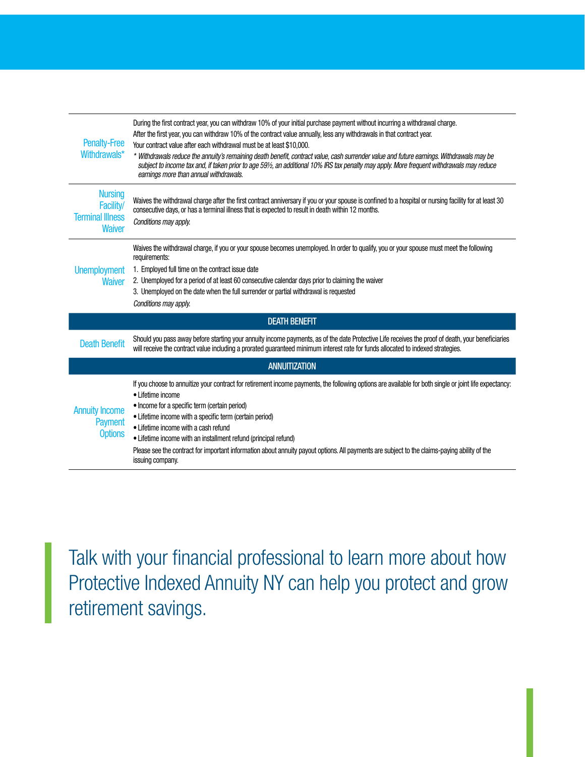| <b>Penalty-Free</b><br>Withdrawals*                                     | During the first contract year, you can withdraw 10% of your initial purchase payment without incurring a withdrawal charge.<br>After the first year, you can withdraw 10% of the contract value annually, less any withdrawals in that contract year.<br>Your contract value after each withdrawal must be at least \$10,000.<br>* Withdrawals reduce the annuity's remaining death benefit, contract value, cash surrender value and future earnings. Withdrawals may be<br>subject to income tax and, if taken prior to age 59½, an additional 10% IRS tax penalty may apply. More frequent withdrawals may reduce<br>earnings more than annual withdrawals. |  |  |  |  |  |
|-------------------------------------------------------------------------|-----------------------------------------------------------------------------------------------------------------------------------------------------------------------------------------------------------------------------------------------------------------------------------------------------------------------------------------------------------------------------------------------------------------------------------------------------------------------------------------------------------------------------------------------------------------------------------------------------------------------------------------------------------------|--|--|--|--|--|
| <b>Nursing</b><br>Facility/<br><b>Terminal Illness</b><br><b>Waiver</b> | Waives the withdrawal charge after the first contract anniversary if you or your spouse is confined to a hospital or nursing facility for at least 30<br>consecutive days, or has a terminal illness that is expected to result in death within 12 months.<br>Conditions may apply.                                                                                                                                                                                                                                                                                                                                                                             |  |  |  |  |  |
| <b>Unemployment</b><br><b>Waiver</b>                                    | Waives the withdrawal charge, if you or your spouse becomes unemployed. In order to qualify, you or your spouse must meet the following<br>requirements:<br>1. Employed full time on the contract issue date<br>2. Unemployed for a period of at least 60 consecutive calendar days prior to claiming the waiver<br>3. Unemployed on the date when the full surrender or partial withdrawal is requested<br>Conditions may apply.                                                                                                                                                                                                                               |  |  |  |  |  |
|                                                                         | <b>DEATH BENEFIT</b>                                                                                                                                                                                                                                                                                                                                                                                                                                                                                                                                                                                                                                            |  |  |  |  |  |
| <b>Death Benefit</b>                                                    | Should you pass away before starting your annuity income payments, as of the date Protective Life receives the proof of death, your beneficiaries<br>will receive the contract value including a prorated guaranteed minimum interest rate for funds allocated to indexed strategies.                                                                                                                                                                                                                                                                                                                                                                           |  |  |  |  |  |
|                                                                         | <b>ANNUITIZATION</b>                                                                                                                                                                                                                                                                                                                                                                                                                                                                                                                                                                                                                                            |  |  |  |  |  |
| <b>Annuity Income</b><br><b>Payment</b><br><b>Options</b>               | If you choose to annuitize your contract for retirement income payments, the following options are available for both single or joint life expectancy:<br>• Lifetime income<br>• Income for a specific term (certain period)<br>• Lifetime income with a specific term (certain period)<br>• Lifetime income with a cash refund<br>• Lifetime income with an installment refund (principal refund)<br>Please see the contract for important information about annuity payout options. All payments are subject to the claims-paying ability of the<br>issuing company.                                                                                          |  |  |  |  |  |

Talk with your financial professional to learn more about how Protective Indexed Annuity NY can help you protect and grow retirement savings.